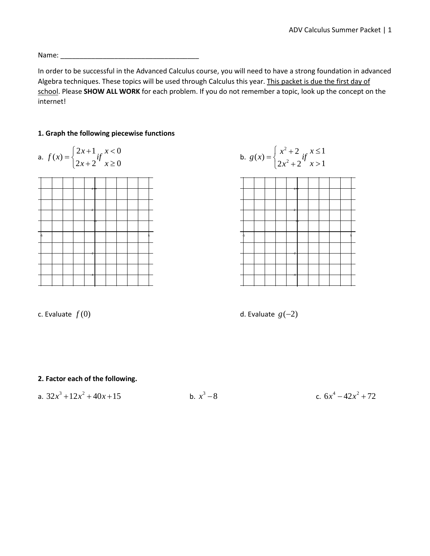Name: \_\_\_\_\_\_\_\_\_\_\_\_\_\_\_\_\_\_\_\_\_\_\_\_\_\_\_\_\_\_\_\_\_\_\_\_

In order to be successful in the Advanced Calculus course, you will need to have a strong foundation in advanced Algebra techniques. These topics will be used through Calculus this year. This packet is due the first day of school. Please **SHOW ALL WORK** for each problem. If you do not remember a topic, look up the concept on the internet!

### **1. Graph the following piecewise functions**









#### **2. Factor each of the following.**

a. 
$$
32x^3 + 12x^2 + 40x + 15
$$
 b.  $x^3 - 8$  c.

c. 
$$
6x^4 - 42x^2 + 72
$$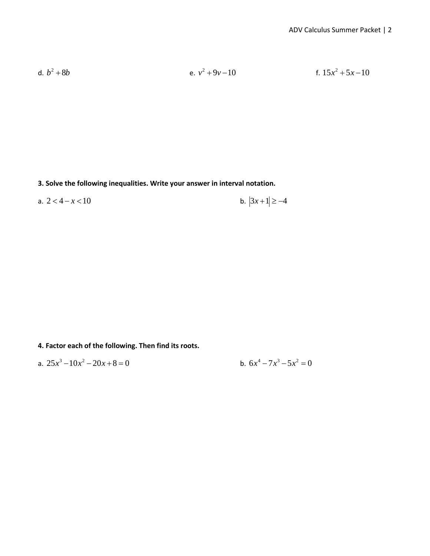d. <sup>2</sup> *b b* + 8 e. 2 *v v* + − 9 10 f. <sup>2</sup> 15 5 10 *x x* + −

**3. Solve the following inequalities. Write your answer in interval notation.**

a.  $2 < 4 - x < 10$  b.  $|3x + 1| \ge -4$ 

**4. Factor each of the following. Then find its roots.** 

a. 
$$
25x^3 - 10x^2 - 20x + 8 = 0
$$
  
b.  $6x^4 - 7x^3 - 5x^2 = 0$ 

b. 
$$
6x^4 - 7x^3 - 5x^2 = 0
$$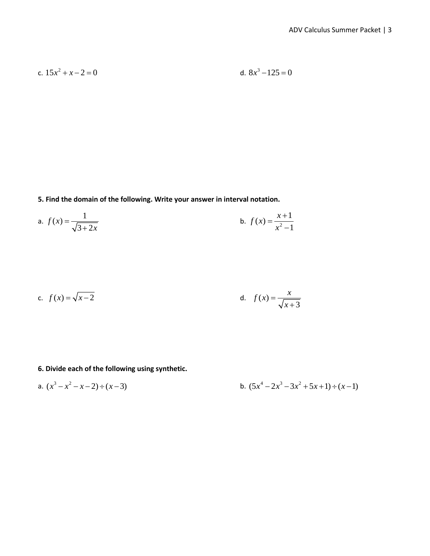c. 
$$
15x^2 + x - 2 = 0
$$
  
d.  $8x^3 - 125 = 0$ 

**5. Find the domain of the following. Write your answer in interval notation.**

a. 
$$
f(x) = \frac{1}{\sqrt{3+2x}}
$$
 b.  $f(x) = \frac{x+1}{x^2-1}$ 

c. 
$$
f(x) = \sqrt{x-2}
$$
 d.  $f(x) = \frac{x}{\sqrt{x+3}}$ 

# **6. Divide each of the following using synthetic.**

a. 
$$
(x^3 - x^2 - x - 2) \div (x - 3)
$$
  
b.  $(5x^4 - 2x^3 - 3x^2 + 5x + 1) \div (x - 1)$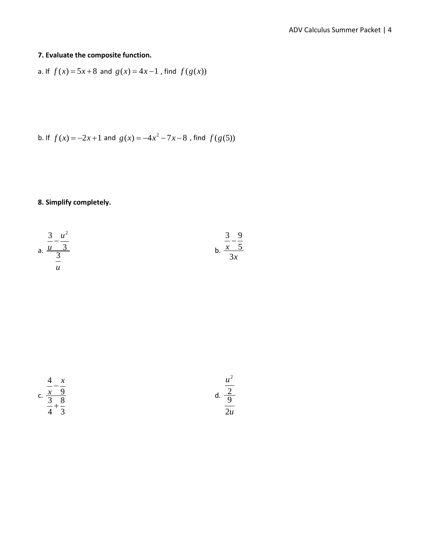## **7. Evaluate the composite function.**

a. If 
$$
f(x) = 5x + 8
$$
 and  $g(x) = 4x - 1$ , find  $f(g(x))$ 

b. If 
$$
f(x) = -2x+1
$$
 and  $g(x) = -4x^2 - 7x - 8$ , find  $f(g(5))$ 

## **8. Simplify completely.**

a. 
$$
\frac{\frac{3}{u} - \frac{u^2}{3}}{\frac{3}{u}}
$$
 b.  $\frac{\frac{3}{x} - \frac{9}{5}}{3x}$ 



$$
d. \frac{\frac{u^2}{2}}{\frac{9}{2u}}
$$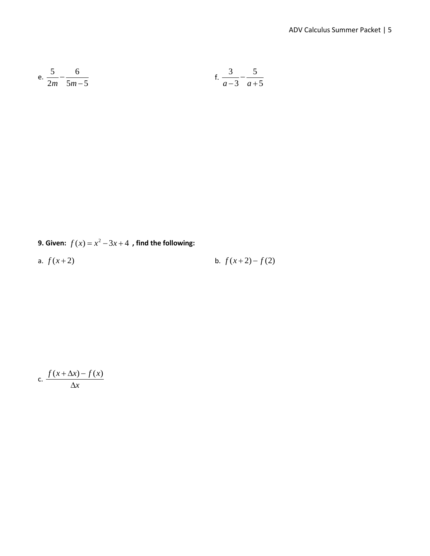e. 
$$
\frac{5}{2m} - \frac{6}{5m-5}
$$
 f.  $\frac{3}{a-3} - \frac{5}{a+5}$ 

**9.** Given:  $f(x) = x^2 - 3x + 4$ , find the following:

a. 
$$
f(x+2)
$$
 b.  $f(x+2)-f(2)$ 

c. 
$$
\frac{f(x + \Delta x) - f(x)}{\Delta x}
$$